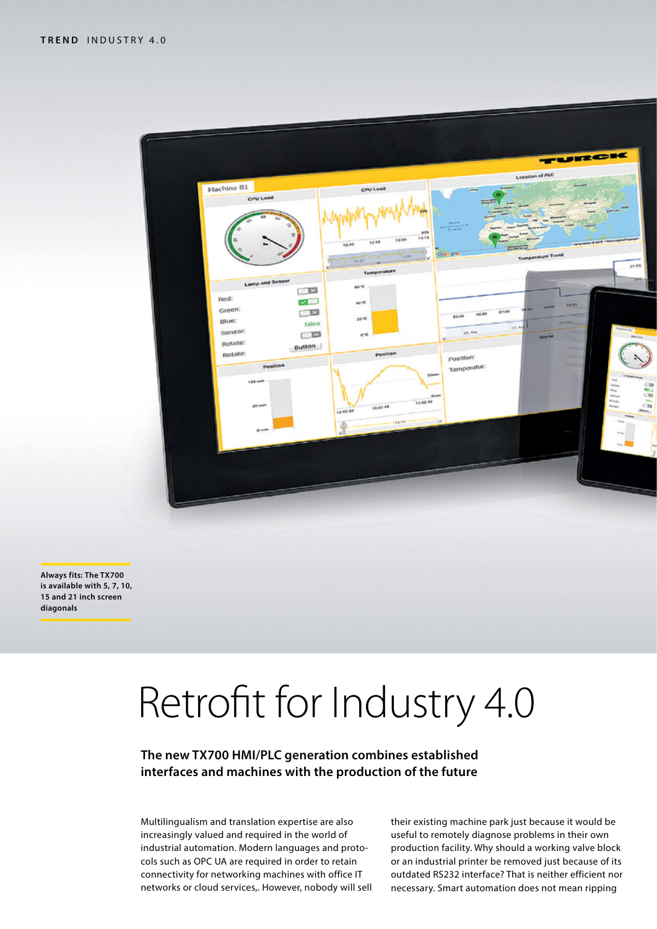

**Always fits: The TX700 is available with 5, 7, 10, 15 and 21 inch screen diagonals**

# Retrofit for Industry 4.0

**The new TX700 HMI/PLC generation combines established interfaces and machines with the production of the future**

Multilingualism and translation expertise are also increasingly valued and required in the world of industrial automation. Modern languages and protocols such as OPC UA are required in order to retain connectivity for networking machines with office IT networks or cloud services,. However, nobody will sell their existing machine park just because it would be useful to remotely diagnose problems in their own production facility. Why should a working valve block or an industrial printer be removed just because of its outdated RS232 interface? That is neither efficient nor necessary. Smart automation does not mean ripping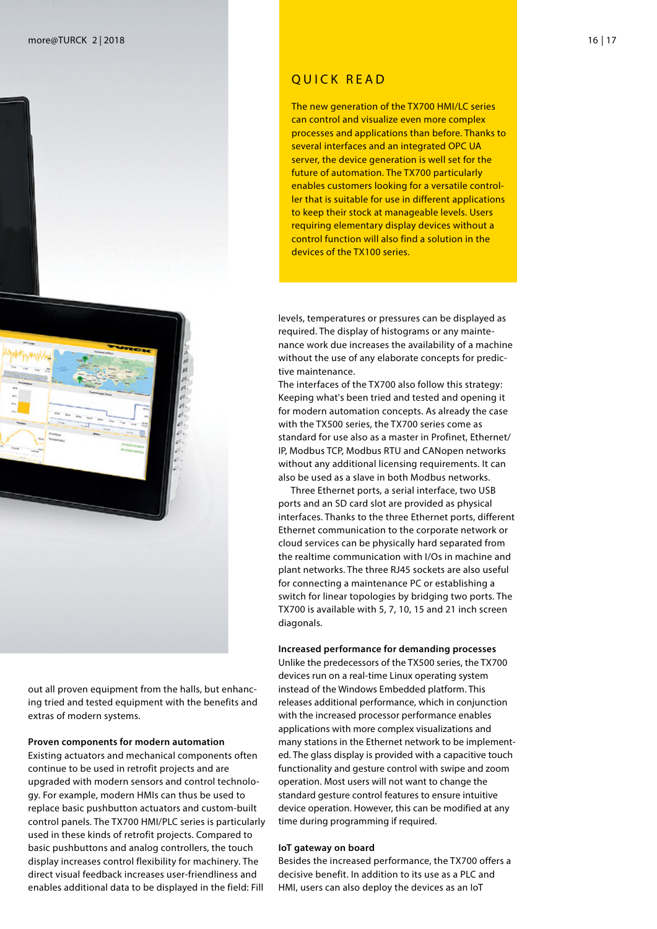



out all proven equipment from the halls, but enhancing tried and tested equipment with the benefits and extras of modern systems.

#### **Proven components for modern automation**

Existing actuators and mechanical components often continue to be used in retrofit projects and are upgraded with modern sensors and control technology. For example, modern HMIs can thus be used to replace basic pushbutton actuators and custom-built control panels. The TX700 HMI/PLC series is particularly used in these kinds of retrofit projects. Compared to basic pushbuttons and analog controllers, the touch display increases control flexibility for machinery. The direct visual feedback increases user-friendliness and enables additional data to be displayed in the field: Fill

### QUICK READ

The new generation of the TX700 HMI/LC series can control and visualize even more complex processes and applications than before. Thanks to several interfaces and an integrated OPC UA server, the device generation is well set for the future of automation. The TX700 particularly enables customers looking for a versatile controller that is suitable for use in different applications to keep their stock at manageable levels. Users requiring elementary display devices without a control function will also find a solution in the devices of the TX100 series.

levels, temperatures or pressures can be displayed as required. The display of histograms or any maintenance work due increases the availability of a machine without the use of any elaborate concepts for predictive maintenance.

The interfaces of the TX700 also follow this strategy: Keeping what's been tried and tested and opening it for modern automation concepts. As already the case with the TX500 series, the TX700 series come as standard for use also as a master in Profinet, Ethernet/ IP, Modbus TCP, Modbus RTU and CANopen networks without any additional licensing requirements. It can also be used as a slave in both Modbus networks.

Three Ethernet ports, a serial interface, two USB ports and an SD card slot are provided as physical interfaces. Thanks to the three Ethernet ports, different Ethernet communication to the corporate network or cloud services can be physically hard separated from the realtime communication with I/Os in machine and plant networks. The three RJ45 sockets are also useful for connecting a maintenance PC or establishing a switch for linear topologies by bridging two ports. The TX700 is available with 5, 7, 10, 15 and 21 inch screen diagonals.

#### **Increased performance for demanding processes**

Unlike the predecessors of the TX500 series, the TX700 devices run on a real-time Linux operating system instead of the Windows Embedded platform. This releases additional performance, which in conjunction with the increased processor performance enables applications with more complex visualizations and many stations in the Ethernet network to be implemented. The glass display is provided with a capacitive touch functionality and gesture control with swipe and zoom operation. Most users will not want to change the standard gesture control features to ensure intuitive device operation. However, this can be modified at any time during programming if required.

#### **IoT gateway on board**

Besides the increased performance, the TX700 offers a decisive benefit. In addition to its use as a PLC and HMI, users can also deploy the devices as an IoT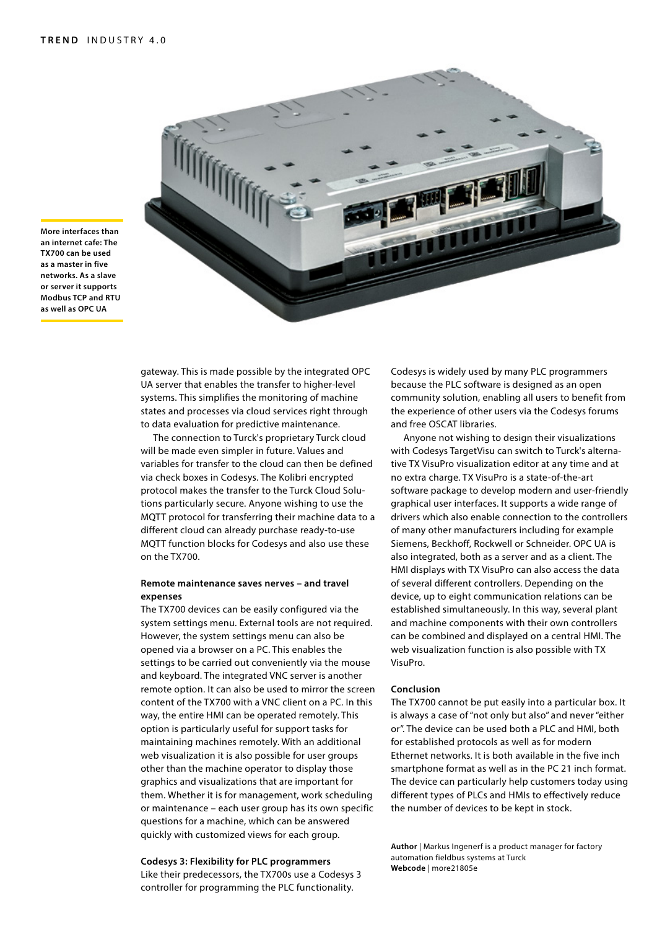

**More interfaces than an internet cafe: The TX700 can be used as a master in five networks. As a slave or server it supports Modbus TCP and RTU as well as OPC UA**

> gateway. This is made possible by the integrated OPC UA server that enables the transfer to higher-level systems. This simplifies the monitoring of machine states and processes via cloud services right through to data evaluation for predictive maintenance.

The connection to Turck's proprietary Turck cloud will be made even simpler in future. Values and variables for transfer to the cloud can then be defined via check boxes in Codesys. The Kolibri encrypted protocol makes the transfer to the Turck Cloud Solutions particularly secure. Anyone wishing to use the MQTT protocol for transferring their machine data to a different cloud can already purchase ready-to-use MQTT function blocks for Codesys and also use these on the TX700.

#### **Remote maintenance saves nerves – and travel expenses**

The TX700 devices can be easily configured via the system settings menu. External tools are not required. However, the system settings menu can also be opened via a browser on a PC. This enables the settings to be carried out conveniently via the mouse and keyboard. The integrated VNC server is another remote option. It can also be used to mirror the screen content of the TX700 with a VNC client on a PC. In this way, the entire HMI can be operated remotely. This option is particularly useful for support tasks for maintaining machines remotely. With an additional web visualization it is also possible for user groups other than the machine operator to display those graphics and visualizations that are important for them. Whether it is for management, work scheduling or maintenance – each user group has its own specific questions for a machine, which can be answered quickly with customized views for each group.

**Codesys 3: Flexibility for PLC programmers**

Like their predecessors, the TX700s use a Codesys 3 controller for programming the PLC functionality.

Codesys is widely used by many PLC programmers because the PLC software is designed as an open community solution, enabling all users to benefit from the experience of other users via the Codesys forums and free OSCAT libraries.

Anyone not wishing to design their visualizations with Codesys TargetVisu can switch to Turck's alternative TX VisuPro visualization editor at any time and at no extra charge. TX VisuPro is a state-of-the-art software package to develop modern and user-friendly graphical user interfaces. It supports a wide range of drivers which also enable connection to the controllers of many other manufacturers including for example Siemens, Beckhoff, Rockwell or Schneider. OPC UA is also integrated, both as a server and as a client. The HMI displays with TX VisuPro can also access the data of several different controllers. Depending on the device, up to eight communication relations can be established simultaneously. In this way, several plant and machine components with their own controllers can be combined and displayed on a central HMI. The web visualization function is also possible with TX VisuPro.

#### **Conclusion**

The TX700 cannot be put easily into a particular box. It is always a case of "not only but also" and never "either or". The device can be used both a PLC and HMI, both for established protocols as well as for modern Ethernet networks. It is both available in the five inch smartphone format as well as in the PC 21 inch format. The device can particularly help customers today using different types of PLCs and HMIs to effectively reduce the number of devices to be kept in stock.

**Author** | Markus Ingenerf is a product manager for factory automation fieldbus systems at Turck **Webcode** | more21805e